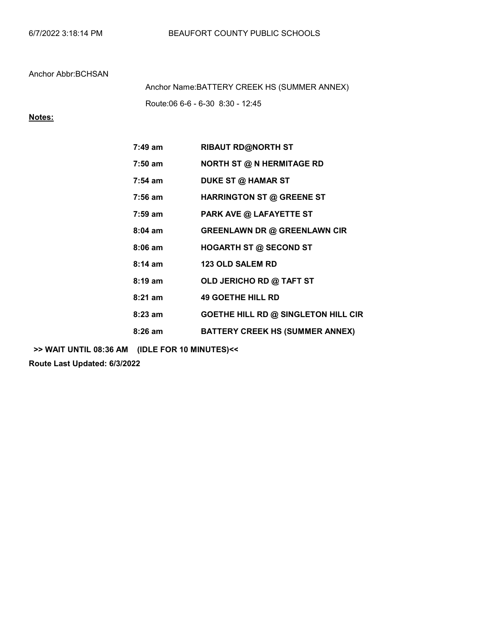Route:06 6-6 - 6-30 8:30 - 12:45 Anchor Name:BATTERY CREEK HS (SUMMER ANNEX)

## Notes:

| 7:49 am           | <b>RIBAUT RD@NORTH ST</b>                  |
|-------------------|--------------------------------------------|
| $7:50$ am         | <b>NORTH ST @ N HERMITAGE RD</b>           |
| $7:54$ am         | <b>DUKE ST @ HAMAR ST</b>                  |
| $7:56$ am         | HARRINGTON ST @ GREENE ST                  |
| $7:59$ am         | <b>PARK AVE @ LAFAYETTE ST</b>             |
| $8:04$ am         | <b>GREENLAWN DR @ GREENLAWN CIR</b>        |
| $8:06$ am         | <b>HOGARTH ST @ SECOND ST</b>              |
| $8:14 \text{ am}$ | <b>123 OLD SALEM RD</b>                    |
| $8:19 \text{ am}$ | OLD JERICHO RD @ TAFT ST                   |
| $8:21$ am         | <b>49 GOETHE HILL RD</b>                   |
| $8:23$ am         | <b>GOETHE HILL RD @ SINGLETON HILL CIR</b> |
| 8:26 am           | <b>BATTERY CREEK HS (SUMMER ANNEX)</b>     |

>> WAIT UNTIL 08:36 AM (IDLE FOR 10 MINUTES)<<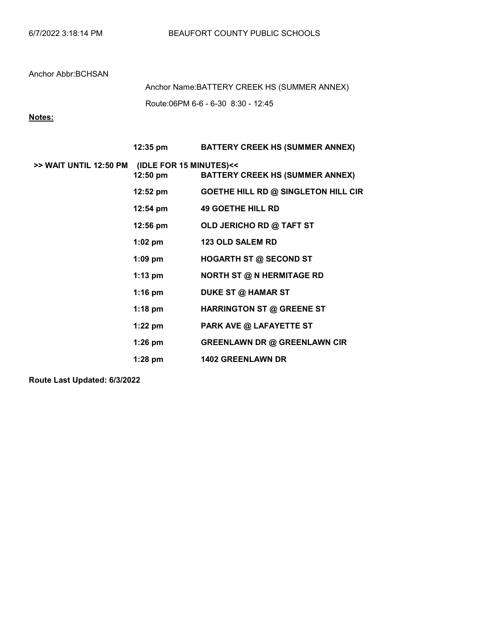Route:06PM 6-6 - 6-30 8:30 - 12:45 Anchor Name:BATTERY CREEK HS (SUMMER ANNEX)

# Notes:

|                        | 12:35 pm                                      | <b>BATTERY CREEK HS (SUMMER ANNEX)</b> |
|------------------------|-----------------------------------------------|----------------------------------------|
| >> WAIT UNTIL 12:50 PM | (IDLE FOR 15 MINUTES)<<<br>$12:50 \text{ pm}$ | <b>BATTERY CREEK HS (SUMMER ANNEX)</b> |
|                        | 12:52 pm                                      | GOETHE HILL RD @ SINGLETON HILL CIR    |
|                        | 12:54 pm                                      | <b>49 GOETHE HILL RD</b>               |
|                        | $12:56 \text{ pm}$                            | OLD JERICHO RD @ TAFT ST               |
|                        | $1:02$ pm                                     | <b>123 OLD SALEM RD</b>                |
|                        | $1:09$ pm                                     | <b>HOGARTH ST @ SECOND ST</b>          |
|                        | $1:13$ pm                                     | <b>NORTH ST @ N HERMITAGE RD</b>       |
|                        | $1:16$ pm                                     | DUKE ST @ HAMAR ST                     |
|                        | $1:18$ pm                                     | <b>HARRINGTON ST @ GREENE ST</b>       |
|                        | $1:22$ pm                                     | <b>PARK AVE @ LAFAYETTE ST</b>         |
|                        | $1:26$ pm                                     | <b>GREENLAWN DR @ GREENLAWN CIR</b>    |
|                        | $1:28$ pm                                     | <b>1402 GREENLAWN DR</b>               |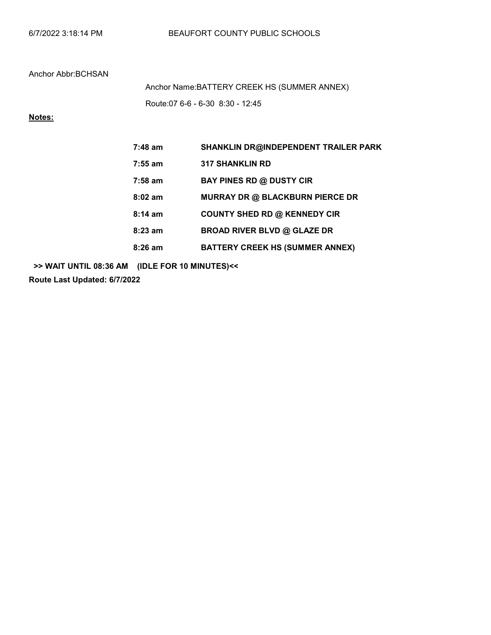Route:07 6-6 - 6-30 8:30 - 12:45 Anchor Name:BATTERY CREEK HS (SUMMER ANNEX)

# Notes:

| $7:48$ am         | SHANKLIN DR@INDEPENDENT TRAILER PARK   |
|-------------------|----------------------------------------|
| $7:55$ am         | <b>317 SHANKLIN RD</b>                 |
| $7:58$ am         | <b>BAY PINES RD @ DUSTY CIR</b>        |
| $8:02$ am         | <b>MURRAY DR @ BLACKBURN PIERCE DR</b> |
| $8:14 \text{ am}$ | <b>COUNTY SHED RD @ KENNEDY CIR</b>    |
| $8:23$ am         | <b>BROAD RIVER BLVD @ GLAZE DR</b>     |
| $8:26$ am         | <b>BATTERY CREEK HS (SUMMER ANNEX)</b> |

>> WAIT UNTIL 08:36 AM (IDLE FOR 10 MINUTES)<<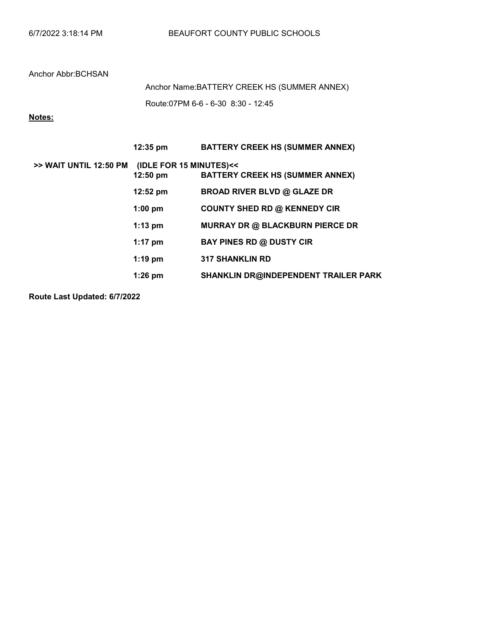Route:07PM 6-6 - 6-30 8:30 - 12:45 Anchor Name:BATTERY CREEK HS (SUMMER ANNEX)

# Notes:

|                        | $12:35 \text{ pm}$                            | <b>BATTERY CREEK HS (SUMMER ANNEX)</b>      |
|------------------------|-----------------------------------------------|---------------------------------------------|
| >> WAIT UNTIL 12:50 PM | (IDLE FOR 15 MINUTES)<<<br>$12:50 \text{ pm}$ | <b>BATTERY CREEK HS (SUMMER ANNEX)</b>      |
|                        | $12:52 \text{ pm}$                            | <b>BROAD RIVER BLVD @ GLAZE DR</b>          |
|                        | $1:00$ pm                                     | <b>COUNTY SHED RD @ KENNEDY CIR</b>         |
|                        | $1:13$ pm                                     | <b>MURRAY DR @ BLACKBURN PIERCE DR</b>      |
|                        | $1:17$ pm                                     | <b>BAY PINES RD @ DUSTY CIR</b>             |
|                        | $1:19$ pm                                     | <b>317 SHANKLIN RD</b>                      |
|                        | $1:26$ pm                                     | <b>SHANKLIN DR@INDEPENDENT TRAILER PARK</b> |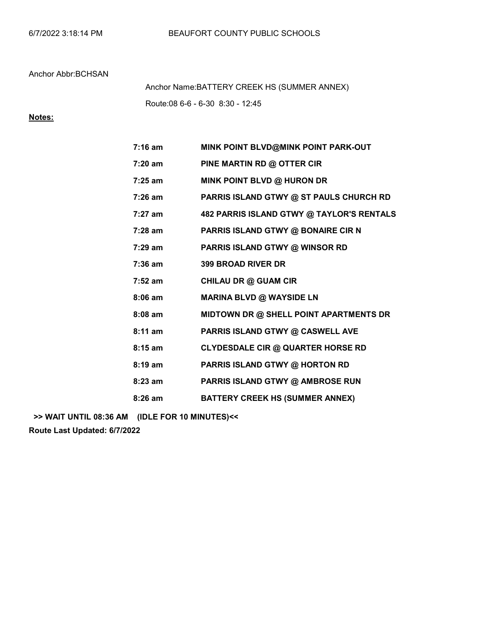Route:08 6-6 - 6-30 8:30 - 12:45 Anchor Name:BATTERY CREEK HS (SUMMER ANNEX)

## Notes:

| $7:16$ am         | MINK POINT BLVD@MINK POINT PARK-OUT       |
|-------------------|-------------------------------------------|
| $7:20$ am         | PINE MARTIN RD @ OTTER CIR                |
| $7:25$ am         | MINK POINT BLVD @ HURON DR                |
| $7:26$ am         | PARRIS ISLAND GTWY @ ST PAULS CHURCH RD   |
| $7:27$ am         | 482 PARRIS ISLAND GTWY @ TAYLOR'S RENTALS |
| $7:28$ am         | PARRIS ISLAND GTWY @ BONAIRE CIR N        |
| $7:29 \text{ am}$ | <b>PARRIS ISLAND GTWY @ WINSOR RD</b>     |
| $7:36$ am         | <b>399 BROAD RIVER DR</b>                 |
| $7:52$ am         | CHILAU DR @ GUAM CIR                      |
| $8:06$ am         | <b>MARINA BLVD @ WAYSIDE LN</b>           |
| $8:08$ am         | MIDTOWN DR @ SHELL POINT APARTMENTS DR    |
| $8:11$ am         | PARRIS ISLAND GTWY @ CASWELL AVE          |
| $8:15$ am         | <b>CLYDESDALE CIR @ QUARTER HORSE RD</b>  |
| $8:19$ am         | PARRIS ISLAND GTWY @ HORTON RD            |
| $8:23$ am         | PARRIS ISLAND GTWY @ AMBROSE RUN          |
| $8:26$ am         | <b>BATTERY CREEK HS (SUMMER ANNEX)</b>    |

>> WAIT UNTIL 08:36 AM (IDLE FOR 10 MINUTES)<<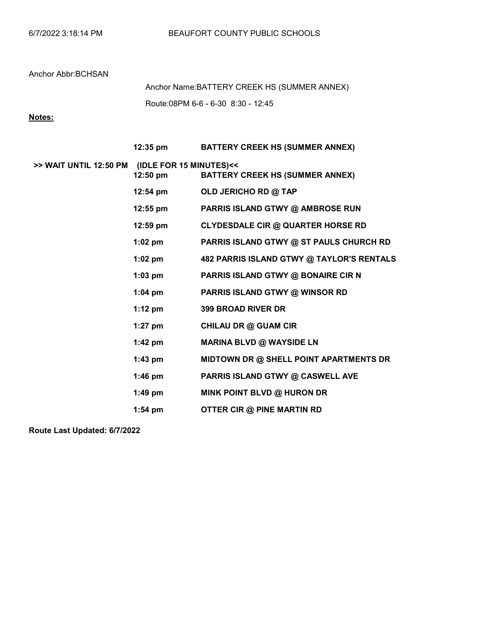Route:08PM 6-6 - 6-30 8:30 - 12:45 Anchor Name:BATTERY CREEK HS (SUMMER ANNEX)

## Notes:

|                                                | 12:35 pm   | <b>BATTERY CREEK HS (SUMMER ANNEX)</b>    |
|------------------------------------------------|------------|-------------------------------------------|
| >> WAIT UNTIL 12:50 PM (IDLE FOR 15 MINUTES)<< | $12:50$ pm | <b>BATTERY CREEK HS (SUMMER ANNEX)</b>    |
|                                                | 12:54 pm   | OLD JERICHO RD @ TAP                      |
|                                                | $12:55$ pm | PARRIS ISLAND GTWY @ AMBROSE RUN          |
|                                                | $12:59$ pm | <b>CLYDESDALE CIR @ QUARTER HORSE RD</b>  |
|                                                | $1:02$ pm  | PARRIS ISLAND GTWY @ ST PAULS CHURCH RD   |
|                                                | $1:02$ pm  | 482 PARRIS ISLAND GTWY @ TAYLOR'S RENTALS |
|                                                | $1:03$ pm  | PARRIS ISLAND GTWY @ BONAIRE CIR N        |
|                                                | $1:04$ pm  | PARRIS ISLAND GTWY @ WINSOR RD            |
|                                                | $1:12$ pm  | <b>399 BROAD RIVER DR</b>                 |
|                                                | $1:27$ pm  | <b>CHILAU DR @ GUAM CIR</b>               |
|                                                | $1:42$ pm  | <b>MARINA BLVD @ WAYSIDE LN</b>           |
|                                                | $1:43$ pm  | MIDTOWN DR @ SHELL POINT APARTMENTS DR    |
|                                                | $1:46$ pm  | PARRIS ISLAND GTWY @ CASWELL AVE          |
|                                                | $1:49$ pm  | MINK POINT BLVD @ HURON DR                |
|                                                | $1:54$ pm  | OTTER CIR @ PINE MARTIN RD                |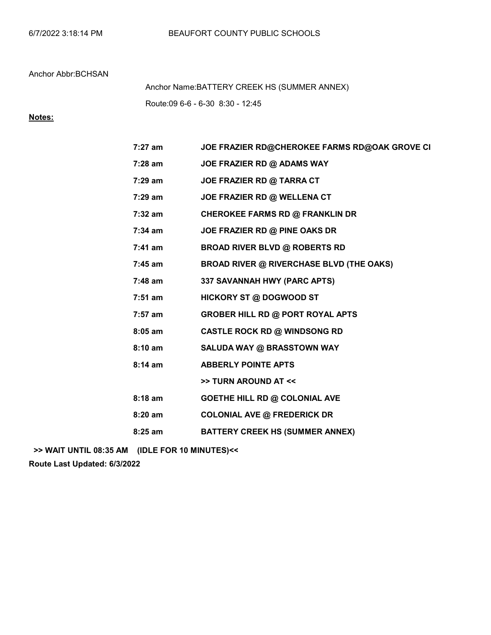Route:09 6-6 - 6-30 8:30 - 12:45 Anchor Name:BATTERY CREEK HS (SUMMER ANNEX)

## Notes:

| 7:27 am           | JOE FRAZIER RD@CHEROKEE FARMS RD@OAK GROVE CI   |
|-------------------|-------------------------------------------------|
| $7:28$ am         | JOE FRAZIER RD @ ADAMS WAY                      |
| 7:29 am           | JOE FRAZIER RD @ TARRA CT                       |
| 7:29 am           | JOE FRAZIER RD @ WELLENA CT                     |
| 7:32 am           | <b>CHEROKEE FARMS RD @ FRANKLIN DR</b>          |
| $7:34$ am         | JOE FRAZIER RD @ PINE OAKS DR                   |
| $7:41$ am         | <b>BROAD RIVER BLVD @ ROBERTS RD</b>            |
| $7:45$ am         | <b>BROAD RIVER @ RIVERCHASE BLVD (THE OAKS)</b> |
| $7:48$ am         | 337 SAVANNAH HWY (PARC APTS)                    |
| $7:51$ am         | <b>HICKORY ST @ DOGWOOD ST</b>                  |
| 7:57 am           | <b>GROBER HILL RD @ PORT ROYAL APTS</b>         |
| $8:05$ am         | <b>CASTLE ROCK RD @ WINDSONG RD</b>             |
| 8:10 am           | SALUDA WAY @ BRASSTOWN WAY                      |
| $8:14 \text{ am}$ | <b>ABBERLY POINTE APTS</b>                      |
|                   | >> TURN AROUND AT <<                            |
| $8:18$ am         | <b>GOETHE HILL RD @ COLONIAL AVE</b>            |
| $8:20$ am         | <b>COLONIAL AVE @ FREDERICK DR</b>              |
| $8:25$ am         | <b>BATTERY CREEK HS (SUMMER ANNEX)</b>          |
|                   |                                                 |

>> WAIT UNTIL 08:35 AM (IDLE FOR 10 MINUTES)<<